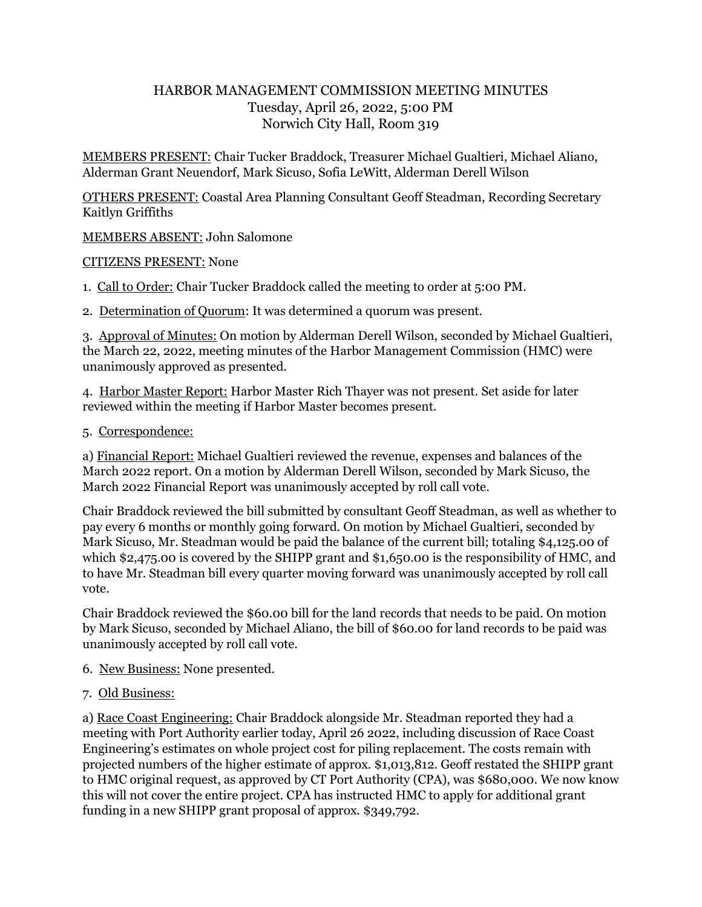## HARBOR MANAGEMENT COMMISSION MEETING MINUTES Tuesday, April 26, 2022, 5:00 PM Norwich City Hall, Room 319

MEMBERS PRESENT: Chair Tucker Braddock, Treasurer Michael Gualtieri, Michael Aliano, Alderman Grant Neuendorf, Mark Sicuso, Sofia LeWitt, Alderman Derell Wilson

OTHERS PRESENT: Coastal Area Planning Consultant Geoff Steadman, Recording Secretary Kaitlyn Griffiths

MEMBERS ABSENT: John Salomone

CITIZENS PRESENT: None

1. Call to Order: Chair Tucker Braddock called the meeting to order at 5:00 PM.

2. Determination of Quorum: It was determined a quorum was present.

3. Approval of Minutes: On motion by Alderman Derell Wilson, seconded by Michael Gualtieri, the March 22, 2022, meeting minutes of the Harbor Management Commission (HMC) were unanimously approved as presented.

4. Harbor Master Report: Harbor Master Rich Thayer was not present. Set aside for later reviewed within the meeting if Harbor Master becomes present.

5. Correspondence:

a) Financial Report: Michael Gualtieri reviewed the revenue, expenses and balances of the March 2022 report. On a motion by Alderman Derell Wilson, seconded by Mark Sicuso, the March 2022 Financial Report was unanimously accepted by roll call vote.

Chair Braddock reviewed the bill submitted by consultant Geoff Steadman, as well as whether to pay every 6 months or monthly going forward. On motion by Michael Gualtieri, seconded by Mark Sicuso, Mr. Steadman would be paid the balance of the current bill; totaling \$4,125.00 of which \$2,475.00 is covered by the SHIPP grant and \$1,650.00 is the responsibility of HMC, and to have Mr. Steadman bill every quarter moving forward was unanimously accepted by roll call vote.

Chair Braddock reviewed the \$60.00 bill for the land records that needs to be paid. On motion by Mark Sicuso, seconded by Michael Aliano, the bill of \$60.00 for land records to be paid was unanimously accepted by roll call vote.

- 6. New Business: None presented.
- 7. Old Business:

a) Race Coast Engineering: Chair Braddock alongside Mr. Steadman reported they had a meeting with Port Authority earlier today, April 26 2022, including discussion of Race Coast Engineering's estimates on whole project cost for piling replacement. The costs remain with projected numbers of the higher estimate of approx. \$1,013,812. Geoff restated the SHIPP grant to HMC original request, as approved by CT Port Authority (CPA), was \$680,000. We now know this will not cover the entire project. CPA has instructed HMC to apply for additional grant funding in a new SHIPP grant proposal of approx. \$349,792.